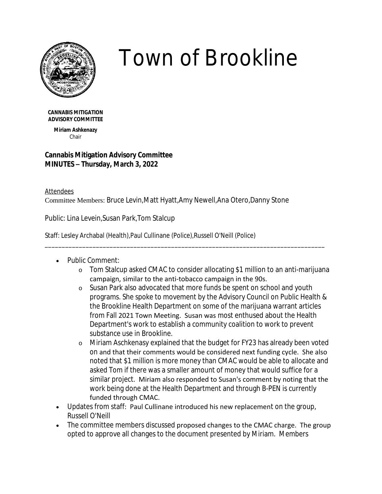

## *Town of Brookline*

**CANNABIS MITIGATION ADVISORY COMMITTEE**

> **Miriam Ashkenazy** Chair

## **Cannabis Mitigation Advisory Committee MINUTES – Thursday, March 3, 2022**

Attendees Committee Members: Bruce Levin,Matt Hyatt,Amy Newell,Ana Otero,Danny Stone

Public: Lina Levein,Susan Park,Tom Stalcup

Staff: Lesley Archabal (Health),Paul Cullinane (Police),Russell O'Neill (Police)

- Public Comment:
	- o Tom Stalcup asked CMAC to consider allocating \$1 million to an anti-marijuana campaign, similar to the anti-tobacco campaign in the 90s.

\_\_\_\_\_\_\_\_\_\_\_\_\_\_\_\_\_\_\_\_\_\_\_\_\_\_\_\_\_\_\_\_\_\_\_\_\_\_\_\_\_\_\_\_\_\_\_\_\_\_\_\_\_\_\_\_\_\_\_\_\_\_\_\_\_\_\_\_\_\_\_\_\_\_\_\_\_\_\_\_\_\_

- o Susan Park also advocated that more funds be spent on school and youth programs. She spoke to movement by the Advisory Council on Public Health & the Brookline Health Department on some of the marijuana warrant articles from Fall 2021 Town Meeting. Susan was most enthused about the Health Department's work to establish a community coalition to work to prevent substance use in Brookline.
- o Miriam Aschkenasy explained that the budget for FY23 has already been voted on and that their comments would be considered next funding cycle. She also noted that \$1 million is more money than CMAC would be able to allocate and asked Tom if there was a smaller amount of money that would suffice for a similar project. Miriam also responded to Susan's comment by noting that the work being done at the Health Department and through B-PEN is currently funded through CMAC.
- Updates from staff: Paul Cullinane introduced his new replacement on the group, Russell O'Neill
- The committee members discussed proposed changes to the CMAC charge. The group opted to approve all changes to the document presented by Miriam. Members